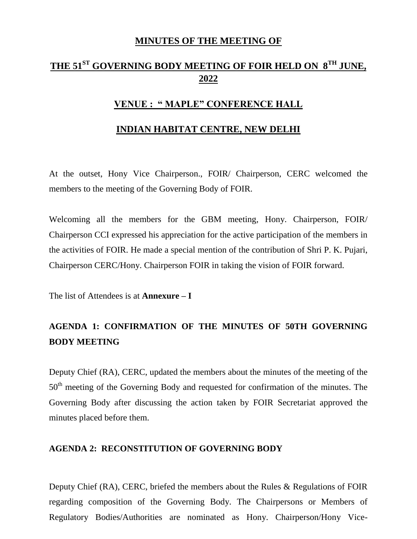## **MINUTES OF THE MEETING OF**

# **THE 51ST GOVERNING BODY MEETING OF FOIR HELD ON 8TH JUNE, 2022**

## **VENUE : " MAPLE" CONFERENCE HALL**

#### **INDIAN HABITAT CENTRE, NEW DELHI**

At the outset, Hony Vice Chairperson., FOIR/ Chairperson, CERC welcomed the members to the meeting of the Governing Body of FOIR.

Welcoming all the members for the GBM meeting, Hony. Chairperson, FOIR/ Chairperson CCI expressed his appreciation for the active participation of the members in the activities of FOIR. He made a special mention of the contribution of Shri P. K. Pujari, Chairperson CERC/Hony. Chairperson FOIR in taking the vision of FOIR forward.

The list of Attendees is at **Annexure – I** 

# **AGENDA 1: CONFIRMATION OF THE MINUTES OF 50TH GOVERNING BODY MEETING**

Deputy Chief (RA), CERC, updated the members about the minutes of the meeting of the 50<sup>th</sup> meeting of the Governing Body and requested for confirmation of the minutes. The Governing Body after discussing the action taken by FOIR Secretariat approved the minutes placed before them.

#### **AGENDA 2: RECONSTITUTION OF GOVERNING BODY**

Deputy Chief (RA), CERC, briefed the members about the Rules & Regulations of FOIR regarding composition of the Governing Body. The Chairpersons or Members of Regulatory Bodies/Authorities are nominated as Hony. Chairperson/Hony Vice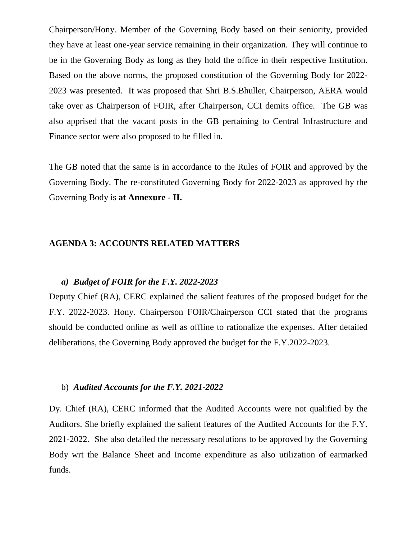Chairperson/Hony. Member of the Governing Body based on their seniority, provided they have at least one-year service remaining in their organization. They will continue to be in the Governing Body as long as they hold the office in their respective Institution. Based on the above norms, the proposed constitution of the Governing Body for 2022- 2023 was presented. It was proposed that Shri B.S.Bhuller, Chairperson, AERA would take over as Chairperson of FOIR, after Chairperson, CCI demits office. The GB was also apprised that the vacant posts in the GB pertaining to Central Infrastructure and Finance sector were also proposed to be filled in.

The GB noted that the same is in accordance to the Rules of FOIR and approved by the Governing Body. The re-constituted Governing Body for 2022-2023 as approved by the Governing Body is **at Annexure - II.**

#### **AGENDA 3: ACCOUNTS RELATED MATTERS**

#### *a) Budget of FOIR for the F.Y. 2022-2023*

Deputy Chief (RA), CERC explained the salient features of the proposed budget for the F.Y. 2022-2023. Hony. Chairperson FOIR/Chairperson CCI stated that the programs should be conducted online as well as offline to rationalize the expenses. After detailed deliberations, the Governing Body approved the budget for the F.Y.2022-2023.

#### b) *Audited Accounts for the F.Y. 2021-2022*

Dy. Chief (RA), CERC informed that the Audited Accounts were not qualified by the Auditors. She briefly explained the salient features of the Audited Accounts for the F.Y. 2021-2022. She also detailed the necessary resolutions to be approved by the Governing Body wrt the Balance Sheet and Income expenditure as also utilization of earmarked funds.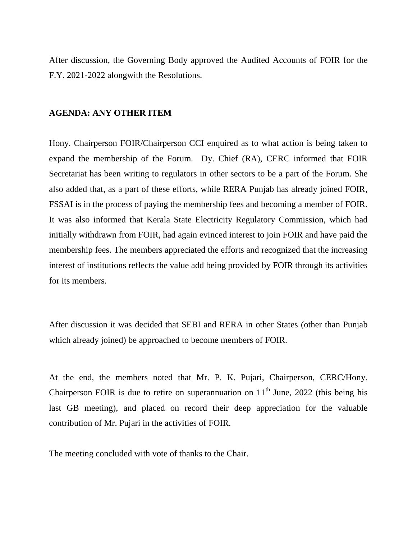After discussion, the Governing Body approved the Audited Accounts of FOIR for the F.Y. 2021-2022 alongwith the Resolutions.

#### **AGENDA: ANY OTHER ITEM**

Hony. Chairperson FOIR/Chairperson CCI enquired as to what action is being taken to expand the membership of the Forum. Dy. Chief (RA), CERC informed that FOIR Secretariat has been writing to regulators in other sectors to be a part of the Forum. She also added that, as a part of these efforts, while RERA Punjab has already joined FOIR, FSSAI is in the process of paying the membership fees and becoming a member of FOIR. It was also informed that Kerala State Electricity Regulatory Commission, which had initially withdrawn from FOIR, had again evinced interest to join FOIR and have paid the membership fees. The members appreciated the efforts and recognized that the increasing interest of institutions reflects the value add being provided by FOIR through its activities for its members.

After discussion it was decided that SEBI and RERA in other States (other than Punjab which already joined) be approached to become members of FOIR.

At the end, the members noted that Mr. P. K. Pujari, Chairperson, CERC/Hony. Chairperson FOIR is due to retire on superannuation on  $11<sup>th</sup>$  June, 2022 (this being his last GB meeting), and placed on record their deep appreciation for the valuable contribution of Mr. Pujari in the activities of FOIR.

The meeting concluded with vote of thanks to the Chair.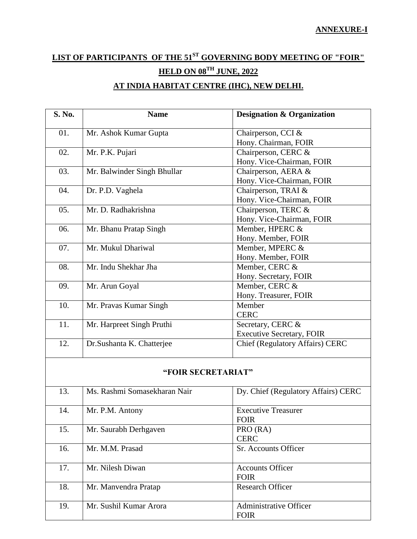# **LIST OF PARTICIPANTS OF THE 51ST GOVERNING BODY MEETING OF "FOIR" HELD ON 08TH JUNE, 2022 AT INDIA HABITAT CENTRE (IHC), NEW DELHI.**

| S. No.             | <b>Name</b>                  | <b>Designation &amp; Organization</b>  |  |  |
|--------------------|------------------------------|----------------------------------------|--|--|
| 01.                | Mr. Ashok Kumar Gupta        | Chairperson, CCI &                     |  |  |
|                    |                              | Hony. Chairman, FOIR                   |  |  |
| 02.                | Mr. P.K. Pujari              | Chairperson, CERC &                    |  |  |
|                    |                              | Hony. Vice-Chairman, FOIR              |  |  |
| 03.                | Mr. Balwinder Singh Bhullar  | Chairperson, AERA &                    |  |  |
|                    |                              | Hony. Vice-Chairman, FOIR              |  |  |
| 04.                | Dr. P.D. Vaghela             | Chairperson, TRAI &                    |  |  |
|                    |                              | Hony. Vice-Chairman, FOIR              |  |  |
| 05.                | Mr. D. Radhakrishna          | Chairperson, TERC &                    |  |  |
|                    |                              | Hony. Vice-Chairman, FOIR              |  |  |
| 06.                | Mr. Bhanu Pratap Singh       | Member, HPERC &                        |  |  |
|                    |                              | Hony. Member, FOIR                     |  |  |
| 07.                | Mr. Mukul Dhariwal           | Member, MPERC &                        |  |  |
|                    |                              | Hony. Member, FOIR                     |  |  |
| 08.                | Mr. Indu Shekhar Jha         | Member, CERC &                         |  |  |
|                    |                              | Hony. Secretary, FOIR                  |  |  |
| 09.                | Mr. Arun Goyal               | Member, CERC &                         |  |  |
|                    |                              | Hony. Treasurer, FOIR                  |  |  |
| 10.                | Mr. Pravas Kumar Singh       | Member                                 |  |  |
|                    |                              | <b>CERC</b>                            |  |  |
| 11.                | Mr. Harpreet Singh Pruthi    | Secretary, CERC &                      |  |  |
|                    |                              | <b>Executive Secretary, FOIR</b>       |  |  |
| 12.                | Dr.Sushanta K. Chatterjee    | <b>Chief (Regulatory Affairs) CERC</b> |  |  |
| "FOIR SECRETARIAT" |                              |                                        |  |  |
| 13.                | Ms. Rashmi Somasekharan Nair | Dy. Chief (Regulatory Affairs) CERC    |  |  |
| 14.                | Mr. P.M. Antony              | <b>Executive Treasurer</b>             |  |  |
|                    |                              | <b>FOIR</b>                            |  |  |
| 15.                | Mr. Saurabh Derhgaven        | PRO (RA)                               |  |  |
|                    |                              | <b>CERC</b>                            |  |  |
| 16.                | Mr. M.M. Prasad              | Sr. Accounts Officer                   |  |  |
| 17.                | Mr. Nilesh Diwan             | <b>Accounts Officer</b>                |  |  |
|                    |                              | <b>FOIR</b>                            |  |  |
| 18.                | Mr. Manvendra Pratap         | <b>Research Officer</b>                |  |  |
| 19.                | Mr. Sushil Kumar Arora       | Administrative Officer                 |  |  |

FOIR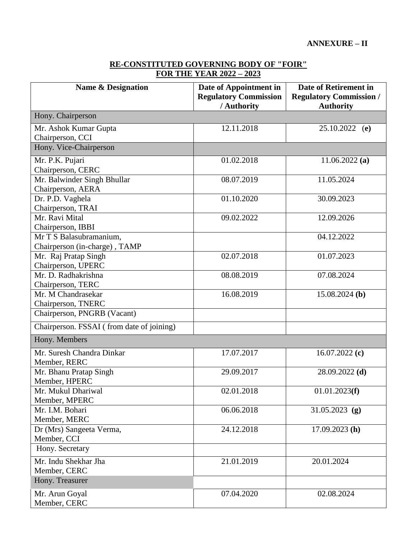### **RE-CONSTITUTED GOVERNING BODY OF "FOIR" FOR THE YEAR 2022 – 2023**

| <b>Name &amp; Designation</b>                            | Date of Appointment in<br><b>Regulatory Commission</b><br>/ Authority | Date of Retirement in<br><b>Regulatory Commission /</b><br><b>Authority</b> |  |  |
|----------------------------------------------------------|-----------------------------------------------------------------------|-----------------------------------------------------------------------------|--|--|
| Hony. Chairperson                                        |                                                                       |                                                                             |  |  |
| Mr. Ashok Kumar Gupta<br>Chairperson, CCI                | 12.11.2018                                                            | 25.10.2022 (e)                                                              |  |  |
| Hony. Vice-Chairperson                                   |                                                                       |                                                                             |  |  |
| Mr. P.K. Pujari<br>Chairperson, CERC                     | 01.02.2018                                                            | 11.06.2022(a)                                                               |  |  |
| Mr. Balwinder Singh Bhullar<br>Chairperson, AERA         | 08.07.2019                                                            | 11.05.2024                                                                  |  |  |
| Dr. P.D. Vaghela<br>Chairperson, TRAI                    | 01.10.2020                                                            | 30.09.2023                                                                  |  |  |
| Mr. Ravi Mital<br>Chairperson, IBBI                      | 09.02.2022                                                            | 12.09.2026                                                                  |  |  |
| Mr T S Balasubramanium,<br>Chairperson (in-charge), TAMP |                                                                       | 04.12.2022                                                                  |  |  |
| Mr. Raj Pratap Singh<br>Chairperson, UPERC               | 02.07.2018                                                            | 01.07.2023                                                                  |  |  |
| Mr. D. Radhakrishna<br>Chairperson, TERC                 | 08.08.2019                                                            | 07.08.2024                                                                  |  |  |
| Mr. M Chandrasekar<br>Chairperson, TNERC                 | 16.08.2019                                                            | $15.08.2024$ (b)                                                            |  |  |
| Chairperson, PNGRB (Vacant)                              |                                                                       |                                                                             |  |  |
| Chairperson. FSSAI (from date of joining)                |                                                                       |                                                                             |  |  |
| Hony. Members                                            |                                                                       |                                                                             |  |  |
| Mr. Suresh Chandra Dinkar<br>Member, RERC                | 17.07.2017                                                            | 16.07.2022 $(c)$                                                            |  |  |
| Mr. Bhanu Pratap Singh<br>Member, HPERC                  | 29.09.2017                                                            | $28.09.2022$ (d)                                                            |  |  |
| Mr. Mukul Dhariwal<br>Member, MPERC                      | 02.01.2018                                                            | 01.01.2023(f)                                                               |  |  |
| Mr. I.M. Bohari<br>Member, MERC                          | 06.06.2018                                                            | 31.05.2023 (g)                                                              |  |  |
| Dr (Mrs) Sangeeta Verma,<br>Member, CCI                  | 24.12.2018                                                            | $17.09.2023$ (h)                                                            |  |  |
| Hony. Secretary                                          |                                                                       |                                                                             |  |  |
| Mr. Indu Shekhar Jha<br>Member, CERC                     | 21.01.2019                                                            | 20.01.2024                                                                  |  |  |
| Hony. Treasurer                                          |                                                                       |                                                                             |  |  |
| Mr. Arun Goyal<br>Member, CERC                           | 07.04.2020                                                            | 02.08.2024                                                                  |  |  |